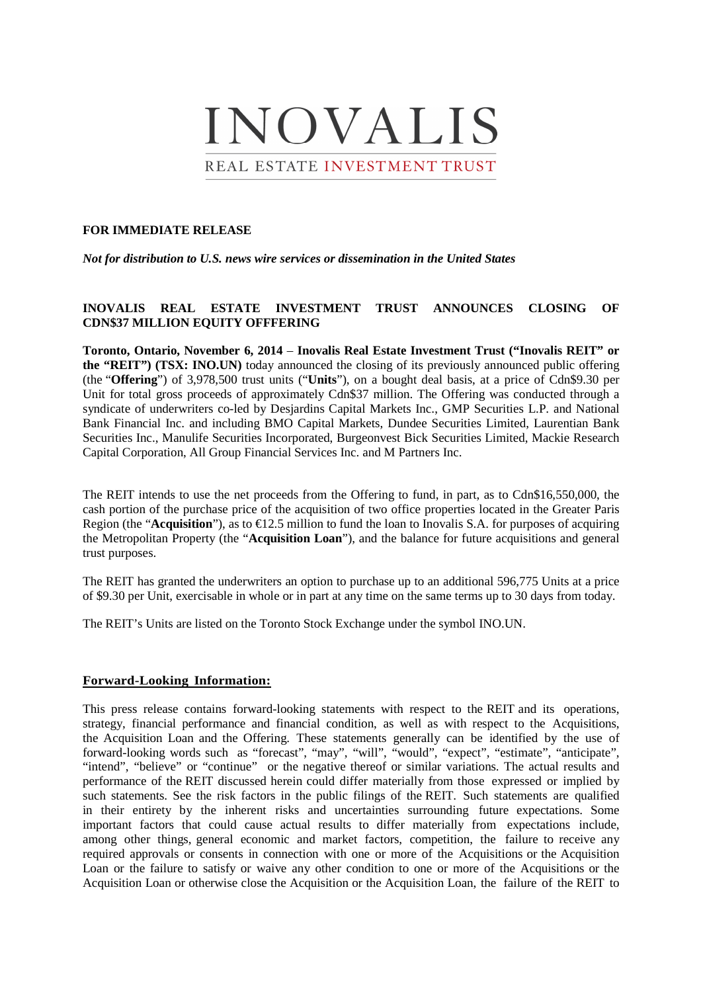# INOVALIS

REAL ESTATE INVESTMENT TRUST

### **FOR IMMEDIATE RELEASE**

*Not for distribution to U.S. news wire services or dissemination in the United States*

# **INOVALIS REAL ESTATE INVESTMENT TRUST ANNOUNCES CLOSING OF CDN\$37 MILLION EQUITY OFFFERING**

**Toronto, Ontario, November 6, 2014** – **Inovalis Real Estate Investment Trust ("Inovalis REIT" or the "REIT") (TSX: INO.UN)** today announced the closing of its previously announced public offering (the "**Offering**") of 3,978,500 trust units ("**Units**"), on a bought deal basis, at a price of Cdn\$9.30 per Unit for total gross proceeds of approximately Cdn\$37 million. The Offering was conducted through a syndicate of underwriters co-led by Desjardins Capital Markets Inc., GMP Securities L.P. and National Bank Financial Inc. and including BMO Capital Markets, Dundee Securities Limited, Laurentian Bank Securities Inc., Manulife Securities Incorporated, Burgeonvest Bick Securities Limited, Mackie Research Capital Corporation, All Group Financial Services Inc. and M Partners Inc.

The REIT intends to use the net proceeds from the Offering to fund, in part, as to Cdn\$16,550,000, the cash portion of the purchase price of the acquisition of two office properties located in the Greater Paris Region (the "**Acquisition**"), as to  $\epsilon$ 12.5 million to fund the loan to Inovalis S.A. for purposes of acquiring the Metropolitan Property (the "**Acquisition Loan**"), and the balance for future acquisitions and general trust purposes.

The REIT has granted the underwriters an option to purchase up to an additional 596,775 Units at a price of \$9.30 per Unit, exercisable in whole or in part at any time on the same terms up to 30 days from today.

The REIT's Units are listed on the Toronto Stock Exchange under the symbol INO.UN.

## **Forward-Looking Information:**

This press release contains forward-looking statements with respect to the REIT and its operations, strategy, financial performance and financial condition, as well as with respect to the Acquisitions, the Acquisition Loan and the Offering. These statements generally can be identified by the use of forward-looking words such as "forecast", "may", "will", "would", "expect", "estimate", "anticipate", "intend", "believe" or "continue" or the negative thereof or similar variations. The actual results and performance of the REIT discussed herein could differ materially from those expressed or implied by such statements. See the risk factors in the public filings of the REIT. Such statements are qualified in their entirety by the inherent risks and uncertainties surrounding future expectations. Some important factors that could cause actual results to differ materially from expectations include, among other things, general economic and market factors, competition, the failure to receive any required approvals or consents in connection with one or more of the Acquisitions or the Acquisition Loan or the failure to satisfy or waive any other condition to one or more of the Acquisitions or the Acquisition Loan or otherwise close the Acquisition or the Acquisition Loan, the failure of the REIT to